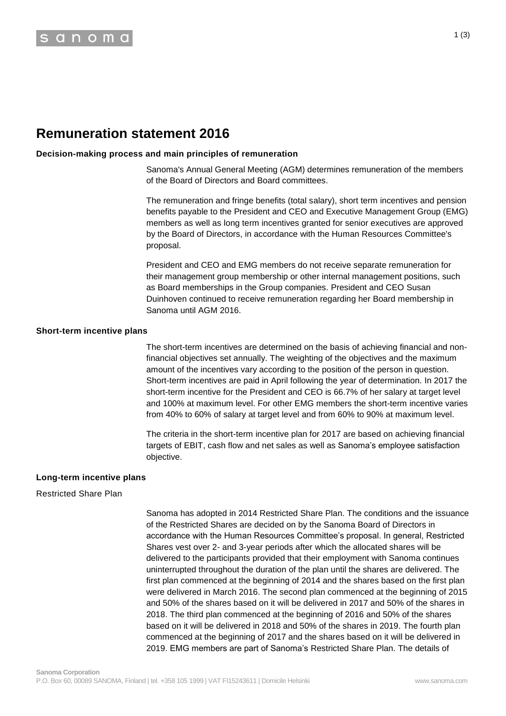# **Remuneration statement 2016**

## **Decision-making process and main principles of remuneration**

Sanoma's Annual General Meeting (AGM) determines remuneration of the members of the Board of Directors and Board committees.

The remuneration and fringe benefits (total salary), short term incentives and pension benefits payable to the President and CEO and Executive Management Group (EMG) members as well as long term incentives granted for senior executives are approved by the Board of Directors, in accordance with the Human Resources Committee's proposal.

President and CEO and EMG members do not receive separate remuneration for their management group membership or other internal management positions, such as Board memberships in the Group companies. President and CEO Susan Duinhoven continued to receive remuneration regarding her Board membership in Sanoma until AGM 2016.

## **Short-term incentive plans**

The short-term incentives are determined on the basis of achieving financial and nonfinancial objectives set annually. The weighting of the objectives and the maximum amount of the incentives vary according to the position of the person in question. Short-term incentives are paid in April following the year of determination. In 2017 the short-term incentive for the President and CEO is 66.7% of her salary at target level and 100% at maximum level. For other EMG members the short-term incentive varies from 40% to 60% of salary at target level and from 60% to 90% at maximum level.

The criteria in the short-term incentive plan for 2017 are based on achieving financial targets of EBIT, cash flow and net sales as well as Sanoma's employee satisfaction objective.

## **Long-term incentive plans**

## Restricted Share Plan

Sanoma has adopted in 2014 Restricted Share Plan. The conditions and the issuance of the Restricted Shares are decided on by the Sanoma Board of Directors in accordance with the Human Resources Committee's proposal. In general, Restricted Shares vest over 2- and 3-year periods after which the allocated shares will be delivered to the participants provided that their employment with Sanoma continues uninterrupted throughout the duration of the plan until the shares are delivered. The first plan commenced at the beginning of 2014 and the shares based on the first plan were delivered in March 2016. The second plan commenced at the beginning of 2015 and 50% of the shares based on it will be delivered in 2017 and 50% of the shares in 2018. The third plan commenced at the beginning of 2016 and 50% of the shares based on it will be delivered in 2018 and 50% of the shares in 2019. The fourth plan commenced at the beginning of 2017 and the shares based on it will be delivered in 2019. EMG members are part of Sanoma's Restricted Share Plan. The details of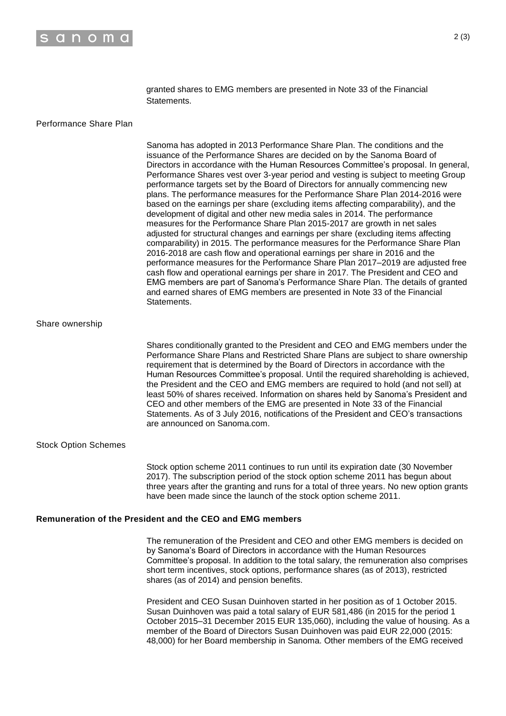

granted shares to EMG members are presented in Note 33 of the Financial Statements.

## Performance Share Plan

Sanoma has adopted in 2013 Performance Share Plan. The conditions and the issuance of the Performance Shares are decided on by the Sanoma Board of Directors in accordance with the Human Resources Committee's proposal. In general, Performance Shares vest over 3-year period and vesting is subject to meeting Group performance targets set by the Board of Directors for annually commencing new plans. The performance measures for the Performance Share Plan 2014-2016 were based on the earnings per share (excluding items affecting comparability), and the development of digital and other new media sales in 2014. The performance measures for the Performance Share Plan 2015-2017 are growth in net sales adjusted for structural changes and earnings per share (excluding items affecting comparability) in 2015. The performance measures for the Performance Share Plan 2016-2018 are cash flow and operational earnings per share in 2016 and the performance measures for the Performance Share Plan 2017–2019 are adjusted free cash flow and operational earnings per share in 2017. The President and CEO and EMG members are part of Sanoma's Performance Share Plan. The details of granted and earned shares of EMG members are presented in Note 33 of the Financial Statements.

#### Share ownership

Shares conditionally granted to the President and CEO and EMG members under the Performance Share Plans and Restricted Share Plans are subject to share ownership requirement that is determined by the Board of Directors in accordance with the Human Resources Committee's proposal. Until the required shareholding is achieved, the President and the CEO and EMG members are required to hold (and not sell) at least 50% of shares received. Information on shares held by Sanoma's President and CEO and other members of the EMG are presented in Note 33 of the Financial Statements. As of 3 July 2016, notifications of the President and CEO's transactions are announced on Sanoma.com.

#### Stock Option Schemes

Stock option scheme 2011 continues to run until its expiration date (30 November 2017). The subscription period of the stock option scheme 2011 has begun about three years after the granting and runs for a total of three years. No new option grants have been made since the launch of the stock option scheme 2011.

## **Remuneration of the President and the CEO and EMG members**

The remuneration of the President and CEO and other EMG members is decided on by Sanoma's Board of Directors in accordance with the Human Resources Committee's proposal. In addition to the total salary, the remuneration also comprises short term incentives, stock options, performance shares (as of 2013), restricted shares (as of 2014) and pension benefits.

President and CEO Susan Duinhoven started in her position as of 1 October 2015. Susan Duinhoven was paid a total salary of EUR 581,486 (in 2015 for the period 1 October 2015–31 December 2015 EUR 135,060), including the value of housing. As a member of the Board of Directors Susan Duinhoven was paid EUR 22,000 (2015: 48,000) for her Board membership in Sanoma. Other members of the EMG received